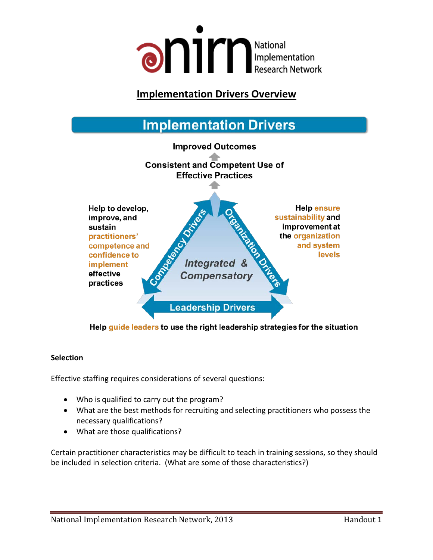

### <sup>U</sup>**Implementation Drivers Overview**



Help guide leaders to use the right leadership strategies for the situation

#### **Selection**

Effective staffing requires considerations of several questions:

- Who is qualified to carry out the program?
- What are the best methods for recruiting and selecting practitioners who possess the necessary qualifications?
- What are those qualifications?

Certain practitioner characteristics may be difficult to teach in training sessions, so they should be included in selection criteria. (What are some of those characteristics?)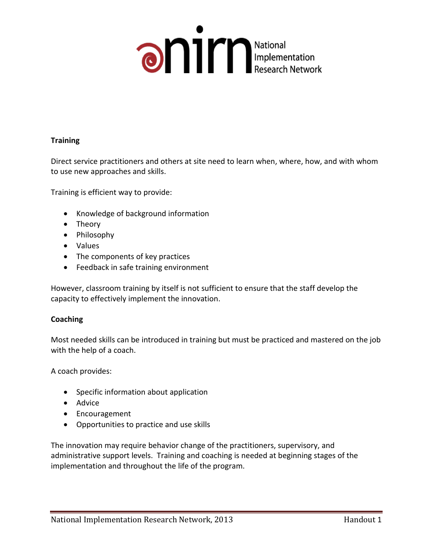

#### **Training**

Direct service practitioners and others at site need to learn when, where, how, and with whom to use new approaches and skills.

Training is efficient way to provide:

- Knowledge of background information
- Theory
- Philosophy
- Values
- The components of key practices
- Feedback in safe training environment

However, classroom training by itself is not sufficient to ensure that the staff develop the capacity to effectively implement the innovation.

#### **Coaching**

Most needed skills can be introduced in training but must be practiced and mastered on the job with the help of a coach.

A coach provides:

- Specific information about application
- Advice
- Encouragement
- Opportunities to practice and use skills

The innovation may require behavior change of the practitioners, supervisory, and administrative support levels. Training and coaching is needed at beginning stages of the implementation and throughout the life of the program.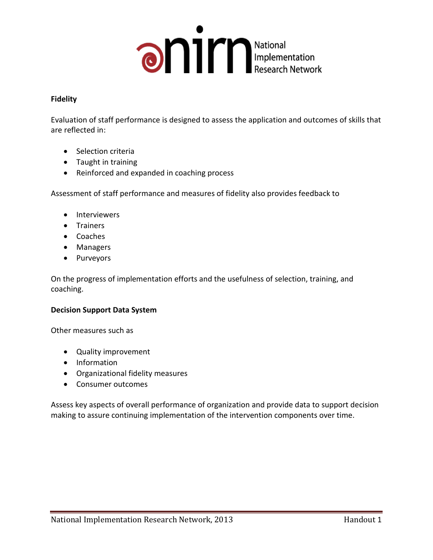

#### **Fidelity**

Evaluation of staff performance is designed to assess the application and outcomes of skills that are reflected in:

- Selection criteria
- Taught in training
- Reinforced and expanded in coaching process

Assessment of staff performance and measures of fidelity also provides feedback to

- Interviewers
- Trainers
- Coaches
- Managers
- Purveyors

On the progress of implementation efforts and the usefulness of selection, training, and coaching.

#### **Decision Support Data System**

Other measures such as

- Quality improvement
- Information
- Organizational fidelity measures
- Consumer outcomes

Assess key aspects of overall performance of organization and provide data to support decision making to assure continuing implementation of the intervention components over time.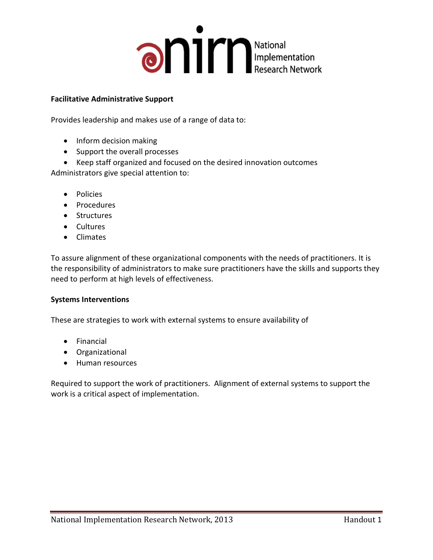

#### **Facilitative Administrative Support**

Provides leadership and makes use of a range of data to:

- Inform decision making
- Support the overall processes
- Keep staff organized and focused on the desired innovation outcomes

Administrators give special attention to:

- Policies
- Procedures
- Structures
- Cultures
- Climates

To assure alignment of these organizational components with the needs of practitioners. It is the responsibility of administrators to make sure practitioners have the skills and supports they need to perform at high levels of effectiveness.

#### **Systems Interventions**

These are strategies to work with external systems to ensure availability of

- Financial
- Organizational
- Human resources

Required to support the work of practitioners. Alignment of external systems to support the work is a critical aspect of implementation.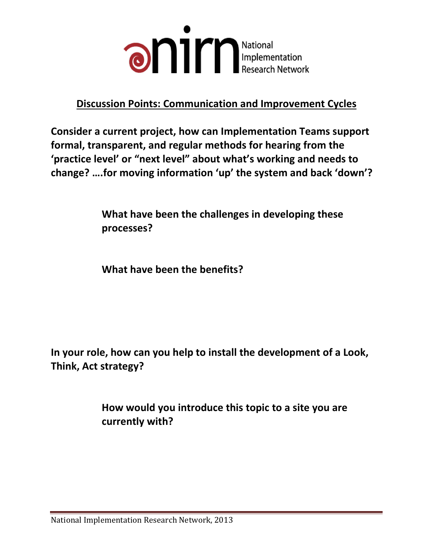

## <sup>U</sup>**Discussion Points: Communication and Improvement Cycles**

**Consider a current project, how can Implementation Teams support formal, transparent, and regular methods for hearing from the 'practice level' or "next level" about what's working and needs to change? ….for moving information 'up' the system and back 'down'?** 

> **What have been the challenges in developing these processes?**

**What have been the benefits?**

**In your role, how can you help to install the development of a Look, Think, Act strategy?**

> **How would you introduce this topic to a site you are currently with?**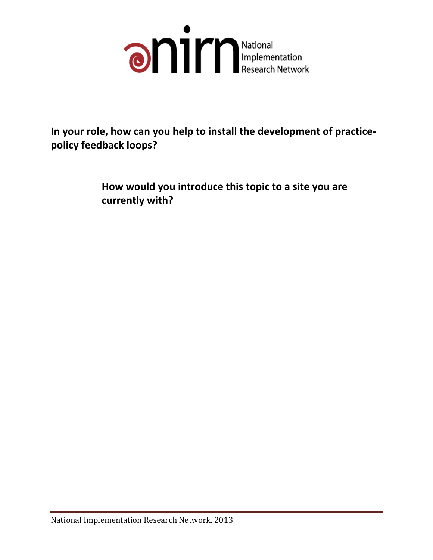

**In your role, how can you help to install the development of practicepolicy feedback loops?** 

> **How would you introduce this topic to a site you are currently with?**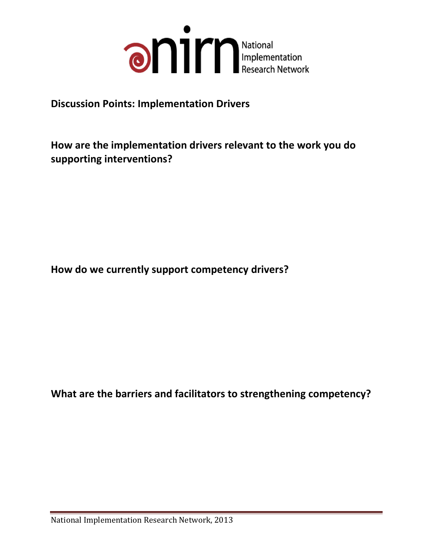

### **Discussion Points: Implementation Drivers**

**How are the implementation drivers relevant to the work you do supporting interventions?**

**How do we currently support competency drivers?**

**What are the barriers and facilitators to strengthening competency?**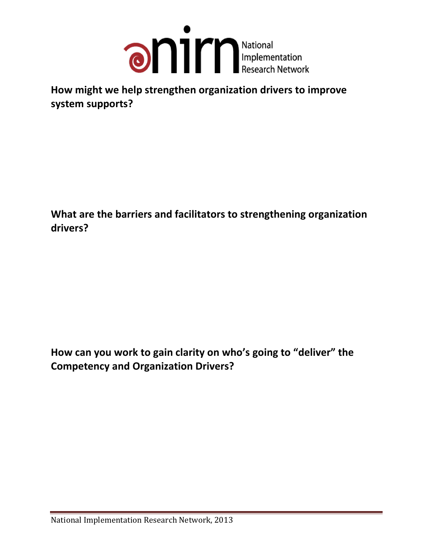

**How might we help strengthen organization drivers to improve system supports?**

**What are the barriers and facilitators to strengthening organization drivers?**

**How can you work to gain clarity on who's going to "deliver" the Competency and Organization Drivers?**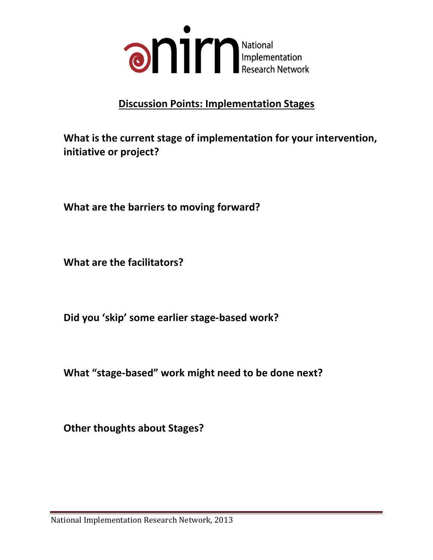

# <sup>U</sup>**Discussion Points: Implementation Stages**

**What is the current stage of implementation for your intervention, initiative or project?**

**What are the barriers to moving forward?**

**What are the facilitators?**

**Did you 'skip' some earlier stage-based work?**

**What "stage-based" work might need to be done next?**

**Other thoughts about Stages?**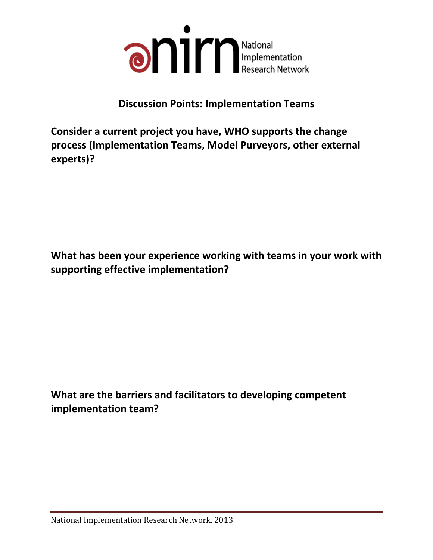

## **Discussion Points: Implementation Teams**

**Consider a current project you have, WHO supports the change process (Implementation Teams, Model Purveyors, other external experts)?**

**What has been your experience working with teams in your work with supporting effective implementation?**

**What are the barriers and facilitators to developing competent implementation team?**